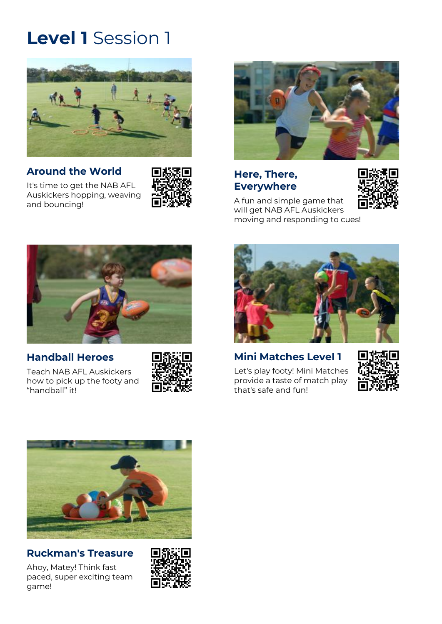

#### **[Around the World](https://play.afl/auskick/activities/around-world?week=1&level=1)**

[It's time to get the NAB AFL](https://play.afl/auskick/activities/around-world?week=1&level=1)  [Auskickers hopping, weaving](https://play.afl/auskick/activities/around-world?week=1&level=1)  [and bouncing!](https://play.afl/auskick/activities/around-world?week=1&level=1)





#### **[Here, There,](https://play.afl/auskick/activities/here-there-everywhere?week=1&level=1)  [Everywhere](https://play.afl/auskick/activities/here-there-everywhere?week=1&level=1)**



[A fun and simple game that](https://play.afl/auskick/activities/here-there-everywhere?week=1&level=1)  [will get NAB AFL Auskickers](https://play.afl/auskick/activities/here-there-everywhere?week=1&level=1)  [moving and responding to cues!](https://play.afl/auskick/activities/here-there-everywhere?week=1&level=1)



### **[Handball Heroes](https://play.afl/auskick/activities/handball-heroes?week=1&level=1)**

[Teach NAB AFL Auskickers](https://play.afl/auskick/activities/handball-heroes?week=1&level=1)  [how to pick up the footy and](https://play.afl/auskick/activities/handball-heroes?week=1&level=1)  ["handball" it!](https://play.afl/auskick/activities/handball-heroes?week=1&level=1)





# **[Mini Matches Level 1](https://play.afl/auskick/activities/mini-matches-level-1?week=1&level=1)**

[Let's play footy! Mini Matches](https://play.afl/auskick/activities/mini-matches-level-1?week=1&level=1)  provide a [taste of match play](https://play.afl/auskick/activities/mini-matches-level-1?week=1&level=1)  that's [safe and fun!](https://play.afl/auskick/activities/mini-matches-level-1?week=1&level=1)





### **[Ruckman's Treasure](https://play.afl/auskick/activities/ruckmans-treasure?week=1&level=1)**

[Ahoy, Matey! Think fast](https://play.afl/auskick/activities/ruckmans-treasure?week=1&level=1)  [paced, super exciting team](https://play.afl/auskick/activities/ruckmans-treasure?week=1&level=1)  [game!](https://play.afl/auskick/activities/ruckmans-treasure?week=1&level=1)

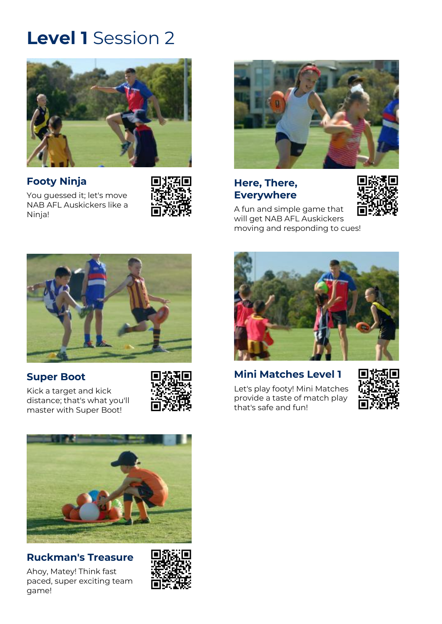

# **[Footy Ninja](https://play.afl/auskick/activities/footy-ninja?week=2&level=1)**

[Ninja!](https://play.afl/auskick/activities/footy-ninja?week=2&level=1)

[You guessed it; let's move](https://play.afl/auskick/activities/footy-ninja?week=2&level=1)  [NAB AFL Auskickers like a](https://play.afl/auskick/activities/footy-ninja?week=2&level=1) 





#### **[Here, There,](https://play.afl/auskick/activities/here-there-everywhere?week=2&level=1)  [Everywhere](https://play.afl/auskick/activities/here-there-everywhere?week=2&level=1)**



[A fun and simple game that](https://play.afl/auskick/activities/here-there-everywhere?week=2&level=1)  [will get NAB AFL Auskickers](https://play.afl/auskick/activities/here-there-everywhere?week=2&level=1)  [moving and responding to cues!](https://play.afl/auskick/activities/here-there-everywhere?week=2&level=1)



# **[Super Boot](https://play.afl/auskick/activities/super-boot?week=2&level=1)**

[Kick a target and kick](https://play.afl/auskick/activities/super-boot?week=2&level=1)  [distance; that's what you'll](https://play.afl/auskick/activities/super-boot?week=2&level=1)  [master with Super Boot!](https://play.afl/auskick/activities/super-boot?week=2&level=1)





### **[Ruckman's Treasure](https://play.afl/auskick/activities/ruckmans-treasure?week=2&level=1)**

[Ahoy, Matey! Think fast](https://play.afl/auskick/activities/ruckmans-treasure?week=2&level=1)  [paced, super exciting team](https://play.afl/auskick/activities/ruckmans-treasure?week=2&level=1)  [game!](https://play.afl/auskick/activities/ruckmans-treasure?week=2&level=1)





# **[Mini Matches Level 1](https://play.afl/auskick/activities/mini-matches-level-1?week=2&level=1)**

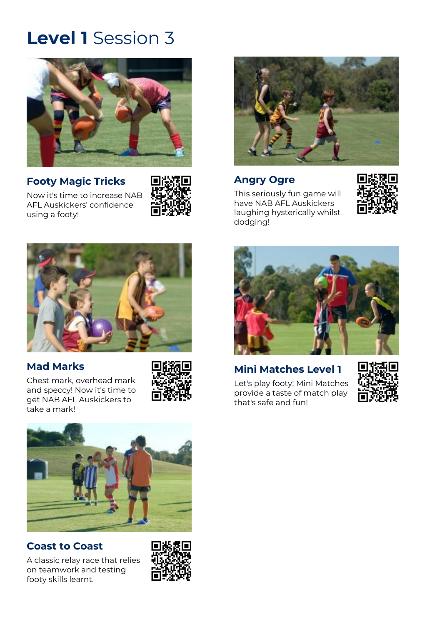

### **[Footy Magic Tricks](https://play.afl/auskick/activities/footy-magic-tricks?week=3&level=1)**

[Now it's time to increase NAB](https://play.afl/auskick/activities/footy-magic-tricks?week=3&level=1)  [AFL Auskickers' confidence](https://play.afl/auskick/activities/footy-magic-tricks?week=3&level=1)  [using a footy!](https://play.afl/auskick/activities/footy-magic-tricks?week=3&level=1)





## **[Angry Ogre](https://play.afl/auskick/activities/angry-ogre?week=3&level=1)**

[This seriously fun game will](https://play.afl/auskick/activities/angry-ogre?week=3&level=1)  [have NAB AFL Auskickers](https://play.afl/auskick/activities/angry-ogre?week=3&level=1)  [laughing hysterically whilst](https://play.afl/auskick/activities/angry-ogre?week=3&level=1)  [dodging!](https://play.afl/auskick/activities/angry-ogre?week=3&level=1)





### **[Mad Marks](https://play.afl/auskick/activities/mad-marks?week=3&level=1)**

[Chest mark, overhead mark](https://play.afl/auskick/activities/mad-marks?week=3&level=1)  [and speccy! Now it's time to](https://play.afl/auskick/activities/mad-marks?week=3&level=1)  [get NAB AFL Auskickers to](https://play.afl/auskick/activities/mad-marks?week=3&level=1)  [take a mark!](https://play.afl/auskick/activities/mad-marks?week=3&level=1)





### **[Coast to Coast](https://play.afl/auskick/activities/coast-coast?week=3&level=1)**

[A classic relay race that relies](https://play.afl/auskick/activities/coast-coast?week=3&level=1)  [on teamwork and testing](https://play.afl/auskick/activities/coast-coast?week=3&level=1)  [footy skills learnt.](https://play.afl/auskick/activities/coast-coast?week=3&level=1)





# **[Mini Matches Level 1](https://play.afl/auskick/activities/mini-matches-level-1?week=3&level=1)**

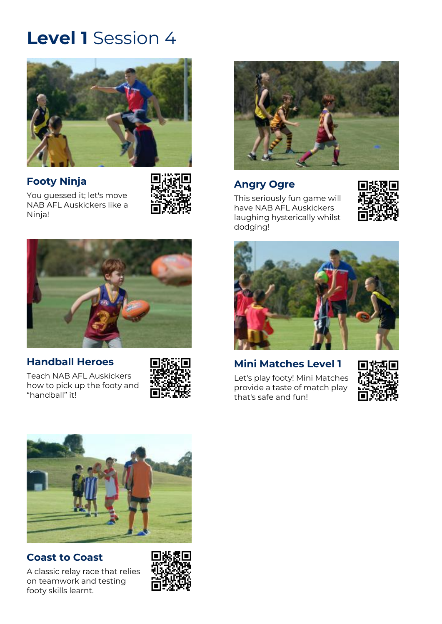

# **[Footy Ninja](https://play.afl/auskick/activities/footy-ninja?week=4&level=1)**



[You guessed it; let's move](https://play.afl/auskick/activities/footy-ninja?week=4&level=1)  [NAB AFL Auskickers like a](https://play.afl/auskick/activities/footy-ninja?week=4&level=1)  [Ninja!](https://play.afl/auskick/activities/footy-ninja?week=4&level=1)



### **[Handball Heroes](https://play.afl/auskick/activities/handball-heroes?week=4&level=1)**

[Teach NAB AFL Auskickers](https://play.afl/auskick/activities/handball-heroes?week=4&level=1)  [how to pick up the footy and](https://play.afl/auskick/activities/handball-heroes?week=4&level=1)  ["handball" it!](https://play.afl/auskick/activities/handball-heroes?week=4&level=1)





#### **[Angry Ogre](https://play.afl/auskick/activities/angry-ogre?week=4&level=1)**

[This seriously fun game will](https://play.afl/auskick/activities/angry-ogre?week=4&level=1)  [have NAB AFL Auskickers](https://play.afl/auskick/activities/angry-ogre?week=4&level=1)  [laughing hysterically whilst](https://play.afl/auskick/activities/angry-ogre?week=4&level=1)  [dodging!](https://play.afl/auskick/activities/angry-ogre?week=4&level=1)





# **[Mini Matches Level 1](https://play.afl/auskick/activities/mini-matches-level-1?week=4&level=1)**

[Let's play footy! Mini Matches](https://play.afl/auskick/activities/mini-matches-level-1?week=4&level=1)  provide a [taste of match play](https://play.afl/auskick/activities/mini-matches-level-1?week=4&level=1)  that's [safe and fun!](https://play.afl/auskick/activities/mini-matches-level-1?week=4&level=1)





### **[Coast to Coast](https://play.afl/auskick/activities/coast-coast?week=4&level=1)**

[A classic relay race that relies](https://play.afl/auskick/activities/coast-coast?week=4&level=1)  [on teamwork and testing](https://play.afl/auskick/activities/coast-coast?week=4&level=1)  [footy skills learnt.](https://play.afl/auskick/activities/coast-coast?week=4&level=1)

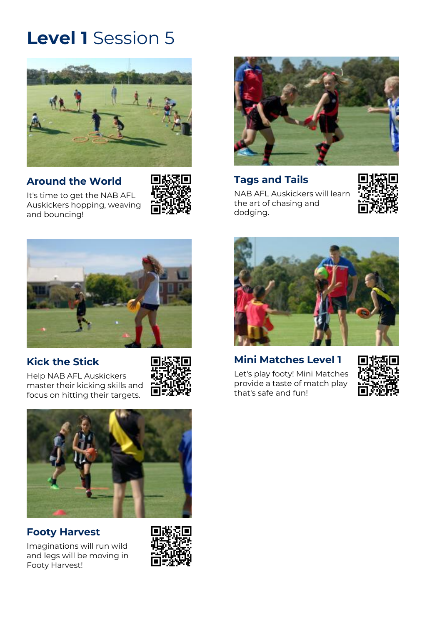

### **[Around the World](https://play.afl/auskick/activities/around-world?week=5&level=1)**



[It's time to get the NAB AFL](https://play.afl/auskick/activities/around-world?week=5&level=1)  [Auskickers hopping, weaving](https://play.afl/auskick/activities/around-world?week=5&level=1)  [and bouncing!](https://play.afl/auskick/activities/around-world?week=5&level=1)



### **[Kick the Stick](https://play.afl/auskick/activities/kick-stick?week=5&level=1)**

[Help NAB AFL Auskickers](https://play.afl/auskick/activities/kick-stick?week=5&level=1)  [master their kicking skills and](https://play.afl/auskick/activities/kick-stick?week=5&level=1)  [focus on hitting their targets.](https://play.afl/auskick/activities/kick-stick?week=5&level=1)





### **[Footy Harvest](https://play.afl/auskick/activities/footy-harvest?week=5&level=1)**

[Imaginations will run wild](https://play.afl/auskick/activities/footy-harvest?week=5&level=1)  [and legs will be moving in](https://play.afl/auskick/activities/footy-harvest?week=5&level=1)  [Footy Harvest!](https://play.afl/auskick/activities/footy-harvest?week=5&level=1)





# **Tags [and Tails](https://play.afl/auskick/activities/tags-and-tails?week=5&level=1)**

[NAB AFL Auskickers will learn](https://play.afl/auskick/activities/tags-and-tails?week=5&level=1)  [the art of chasing and](https://play.afl/auskick/activities/tags-and-tails?week=5&level=1)  [dodging.](https://play.afl/auskick/activities/tags-and-tails?week=5&level=1)





### **[Mini Matches Level 1](https://play.afl/auskick/activities/mini-matches-level-1?week=5&level=1)**

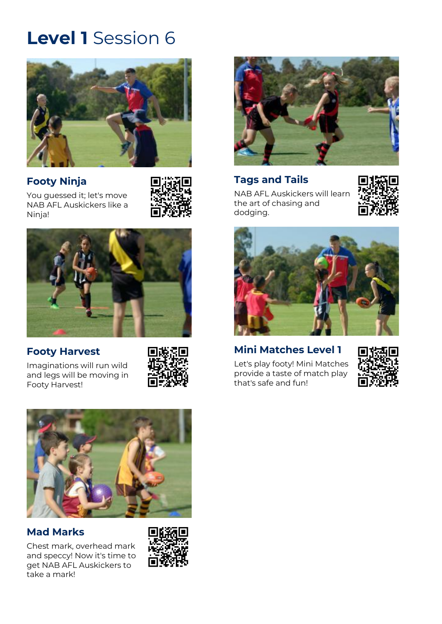

# **[Footy Ninja](https://play.afl/auskick/activities/footy-ninja?week=6&level=1)**



[You guessed it; let's move](https://play.afl/auskick/activities/footy-ninja?week=6&level=1)  [NAB AFL Auskickers like a](https://play.afl/auskick/activities/footy-ninja?week=6&level=1)  [Ninja!](https://play.afl/auskick/activities/footy-ninja?week=6&level=1)



# **[Footy Harvest](https://play.afl/auskick/activities/footy-harvest?week=6&level=1)**

[Imaginations will run wild](https://play.afl/auskick/activities/footy-harvest?week=6&level=1)  [and legs will be moving in](https://play.afl/auskick/activities/footy-harvest?week=6&level=1)  [Footy Harvest!](https://play.afl/auskick/activities/footy-harvest?week=6&level=1)





### **[Mad Marks](https://play.afl/auskick/activities/mad-marks?week=6&level=1)**

[Chest mark, overhead mark](https://play.afl/auskick/activities/mad-marks?week=6&level=1)  [and speccy! Now it's time to](https://play.afl/auskick/activities/mad-marks?week=6&level=1)  [get NAB AFL Auskickers to](https://play.afl/auskick/activities/mad-marks?week=6&level=1)  [take a mark!](https://play.afl/auskick/activities/mad-marks?week=6&level=1)





# **Tags [and Tails](https://play.afl/auskick/activities/tags-and-tails?week=6&level=1)**

[NAB AFL Auskickers will learn](https://play.afl/auskick/activities/tags-and-tails?week=6&level=1)  [the art of chasing and](https://play.afl/auskick/activities/tags-and-tails?week=6&level=1)  [dodging.](https://play.afl/auskick/activities/tags-and-tails?week=6&level=1)





# **[Mini Matches Level 1](https://play.afl/auskick/activities/mini-matches-level-1?week=6&level=1)**

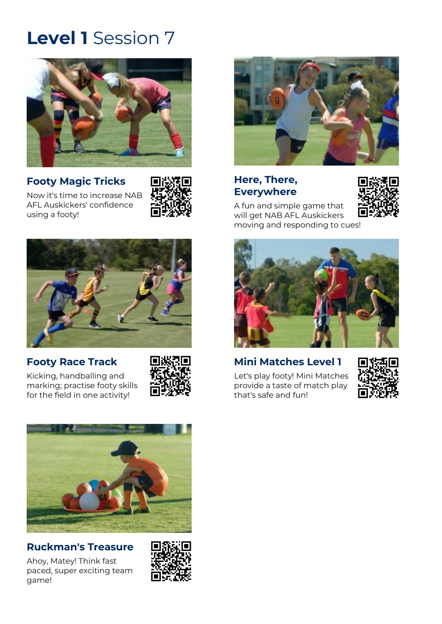

### **[Footy Magic Tricks](https://play.afl/auskick/activities/footy-magic-tricks?week=7&level=1)**

[Now it's time to increase NAB](https://play.afl/auskick/activities/footy-magic-tricks?week=7&level=1)  [AFL Auskickers' confidence](https://play.afl/auskick/activities/footy-magic-tricks?week=7&level=1)  [using a footy!](https://play.afl/auskick/activities/footy-magic-tricks?week=7&level=1)





### **[Footy Race Track](https://play.afl/auskick/activities/footy-race-track?week=7&level=1)**

[Kicking, handballing and](https://play.afl/auskick/activities/footy-race-track?week=7&level=1)  [marking; practise footy skills](https://play.afl/auskick/activities/footy-race-track?week=7&level=1)  [for the field in one activity!](https://play.afl/auskick/activities/footy-race-track?week=7&level=1)





#### **[Ruckman's Treasure](https://play.afl/auskick/activities/ruckmans-treasure?week=7&level=1)**

[Ahoy, Matey! Think fast](https://play.afl/auskick/activities/ruckmans-treasure?week=7&level=1)  [paced, super exciting team](https://play.afl/auskick/activities/ruckmans-treasure?week=7&level=1)  [game!](https://play.afl/auskick/activities/ruckmans-treasure?week=7&level=1)





## **[Here, There,](https://play.afl/auskick/activities/here-there-everywhere?week=7&level=1)  [Everywhere](https://play.afl/auskick/activities/here-there-everywhere?week=7&level=1)**



[A fun and simple game that](https://play.afl/auskick/activities/here-there-everywhere?week=7&level=1)  [will get NAB AFL Auskickers](https://play.afl/auskick/activities/here-there-everywhere?week=7&level=1)  [moving and responding to cues!](https://play.afl/auskick/activities/here-there-everywhere?week=7&level=1)



# **[Mini Matches Level 1](https://play.afl/auskick/activities/mini-matches-level-1?week=7&level=1)**

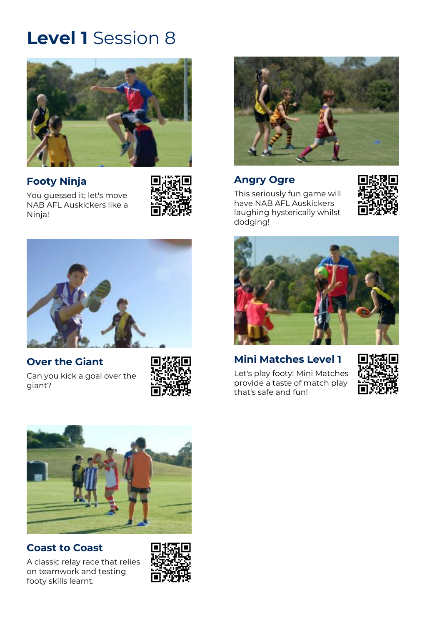

# **[Footy Ninja](https://play.afl/auskick/activities/footy-ninja?week=8&level=1)**



[You guessed it; let's move](https://play.afl/auskick/activities/footy-ninja?week=8&level=1)  [NAB AFL Auskickers like a](https://play.afl/auskick/activities/footy-ninja?week=8&level=1)  [Ninja!](https://play.afl/auskick/activities/footy-ninja?week=8&level=1)



# **[Over the Giant](https://play.afl/auskick/activities/over-giant?week=8&level=1)**

[Can you kick a goal over the](https://play.afl/auskick/activities/over-giant?week=8&level=1)  [giant?](https://play.afl/auskick/activities/over-giant?week=8&level=1)





## **[Angry Ogre](https://play.afl/auskick/activities/angry-ogre?week=8&level=1)**

[This seriously fun game will](https://play.afl/auskick/activities/angry-ogre?week=8&level=1)  [have NAB AFL Auskickers](https://play.afl/auskick/activities/angry-ogre?week=8&level=1)  [laughing hysterically whilst](https://play.afl/auskick/activities/angry-ogre?week=8&level=1)  [dodging!](https://play.afl/auskick/activities/angry-ogre?week=8&level=1)





### **[Mini Matches Level 1](https://play.afl/auskick/activities/mini-matches-level-1?week=8&level=1)**

[Let's play footy! Mini Matches](https://play.afl/auskick/activities/mini-matches-level-1?week=8&level=1)  provide a [taste of match play](https://play.afl/auskick/activities/mini-matches-level-1?week=8&level=1)  that's [safe and fun!](https://play.afl/auskick/activities/mini-matches-level-1?week=8&level=1)





### **[Coast to Coast](https://play.afl/auskick/activities/coast-coast?week=8&level=1)**

[A classic relay race that relies](https://play.afl/auskick/activities/coast-coast?week=8&level=1)  [on teamwork and testing](https://play.afl/auskick/activities/coast-coast?week=8&level=1)  [footy skills learnt.](https://play.afl/auskick/activities/coast-coast?week=8&level=1)

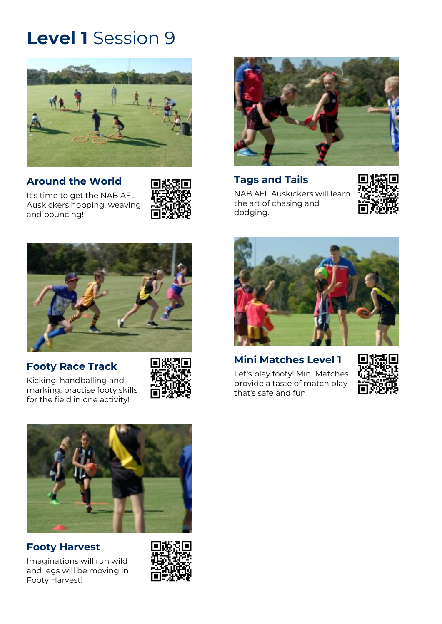

#### **[Around the World](https://play.afl/auskick/activities/around-world?week=9&level=1)**

[It's time to get the NAB AFL](https://play.afl/auskick/activities/around-world?week=9&level=1)  [Auskickers hopping, weaving](https://play.afl/auskick/activities/around-world?week=9&level=1)  [and bouncing!](https://play.afl/auskick/activities/around-world?week=9&level=1)





#### **[Footy Race Track](https://play.afl/auskick/activities/footy-race-track?week=9&level=1)**

[Kicking, handballing and](https://play.afl/auskick/activities/footy-race-track?week=9&level=1)  [marking; practise footy skills](https://play.afl/auskick/activities/footy-race-track?week=9&level=1)  [for the field in one activity!](https://play.afl/auskick/activities/footy-race-track?week=9&level=1)





# **Tags [and Tails](https://play.afl/auskick/activities/tags-and-tails?week=9&level=1)**

[NAB AFL Auskickers will learn](https://play.afl/auskick/activities/tags-and-tails?week=9&level=1)  [the art of chasing and](https://play.afl/auskick/activities/tags-and-tails?week=9&level=1)  [dodging.](https://play.afl/auskick/activities/tags-and-tails?week=9&level=1)





### **[Mini Matches Level 1](https://play.afl/auskick/activities/mini-matches-level-1?week=9&level=1)**

[Let's play footy! Mini Matches](https://play.afl/auskick/activities/mini-matches-level-1?week=9&level=1)  provide a [taste of match play](https://play.afl/auskick/activities/mini-matches-level-1?week=9&level=1)  that's [safe and fun!](https://play.afl/auskick/activities/mini-matches-level-1?week=9&level=1)





# **[Footy Harvest](https://play.afl/auskick/activities/footy-harvest?week=9&level=1)**

[Imaginations will run wild](https://play.afl/auskick/activities/footy-harvest?week=9&level=1)  [and legs will be moving in](https://play.afl/auskick/activities/footy-harvest?week=9&level=1)  [Footy Harvest!](https://play.afl/auskick/activities/footy-harvest?week=9&level=1)